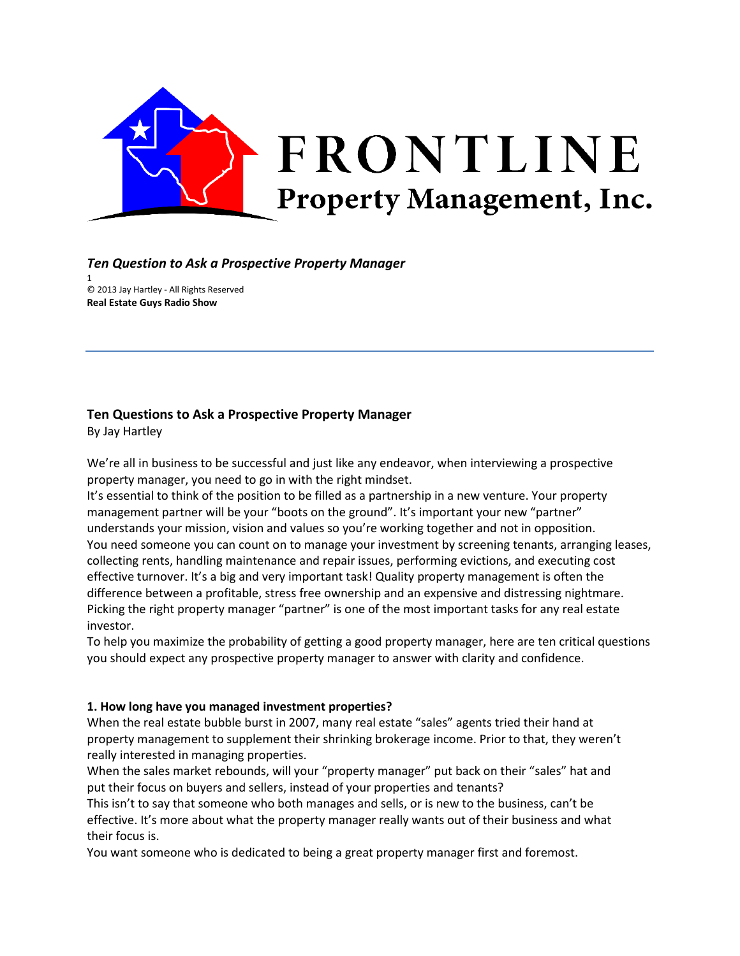

# *Ten Question to Ask a Prospective Property Manager*

1 © 2013 Jay Hartley ‐ All Rights Reserved **Real Estate Guys Radio Show**

# **Ten Questions to Ask a Prospective Property Manager**

By Jay Hartley

We're all in business to be successful and just like any endeavor, when interviewing a prospective property manager, you need to go in with the right mindset.

It's essential to think of the position to be filled as a partnership in a new venture. Your property management partner will be your "boots on the ground". It's important your new "partner" understands your mission, vision and values so you're working together and not in opposition. You need someone you can count on to manage your investment by screening tenants, arranging leases, collecting rents, handling maintenance and repair issues, performing evictions, and executing cost effective turnover. It's a big and very important task! Quality property management is often the difference between a profitable, stress free ownership and an expensive and distressing nightmare. Picking the right property manager "partner" is one of the most important tasks for any real estate investor.

To help you maximize the probability of getting a good property manager, here are ten critical questions you should expect any prospective property manager to answer with clarity and confidence.

## **1. How long have you managed investment properties?**

When the real estate bubble burst in 2007, many real estate "sales" agents tried their hand at property management to supplement their shrinking brokerage income. Prior to that, they weren't really interested in managing properties.

When the sales market rebounds, will your "property manager" put back on their "sales" hat and put their focus on buyers and sellers, instead of your properties and tenants?

This isn't to say that someone who both manages and sells, or is new to the business, can't be effective. It's more about what the property manager really wants out of their business and what their focus is.

You want someone who is dedicated to being a great property manager first and foremost.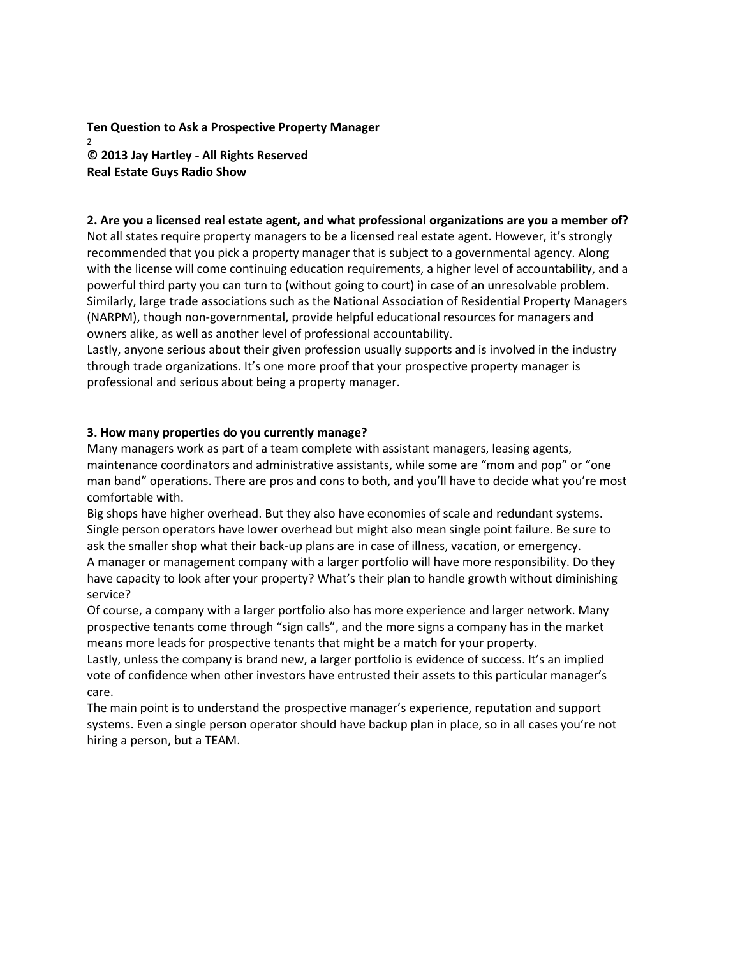**Ten Question to Ask a Prospective Property Manager** 2 **© 2013 Jay Hartley** ‐ **All Rights Reserved Real Estate Guys Radio Show**

#### **2. Are you a licensed real estate agent, and what professional organizations are you a member of?**

Not all states require property managers to be a licensed real estate agent. However, it's strongly recommended that you pick a property manager that is subject to a governmental agency. Along with the license will come continuing education requirements, a higher level of accountability, and a powerful third party you can turn to (without going to court) in case of an unresolvable problem. Similarly, large trade associations such as the National Association of Residential Property Managers (NARPM), though non‐governmental, provide helpful educational resources for managers and owners alike, as well as another level of professional accountability.

Lastly, anyone serious about their given profession usually supports and is involved in the industry through trade organizations. It's one more proof that your prospective property manager is professional and serious about being a property manager.

#### **3. How many properties do you currently manage?**

Many managers work as part of a team complete with assistant managers, leasing agents, maintenance coordinators and administrative assistants, while some are "mom and pop" or "one man band" operations. There are pros and cons to both, and you'll have to decide what you're most comfortable with.

Big shops have higher overhead. But they also have economies of scale and redundant systems. Single person operators have lower overhead but might also mean single point failure. Be sure to ask the smaller shop what their back-up plans are in case of illness, vacation, or emergency. A manager or management company with a larger portfolio will have more responsibility. Do they have capacity to look after your property? What's their plan to handle growth without diminishing service?

Of course, a company with a larger portfolio also has more experience and larger network. Many prospective tenants come through "sign calls", and the more signs a company has in the market means more leads for prospective tenants that might be a match for your property.

Lastly, unless the company is brand new, a larger portfolio is evidence of success. It's an implied vote of confidence when other investors have entrusted their assets to this particular manager's care.

The main point is to understand the prospective manager's experience, reputation and support systems. Even a single person operator should have backup plan in place, so in all cases you're not hiring a person, but a TEAM.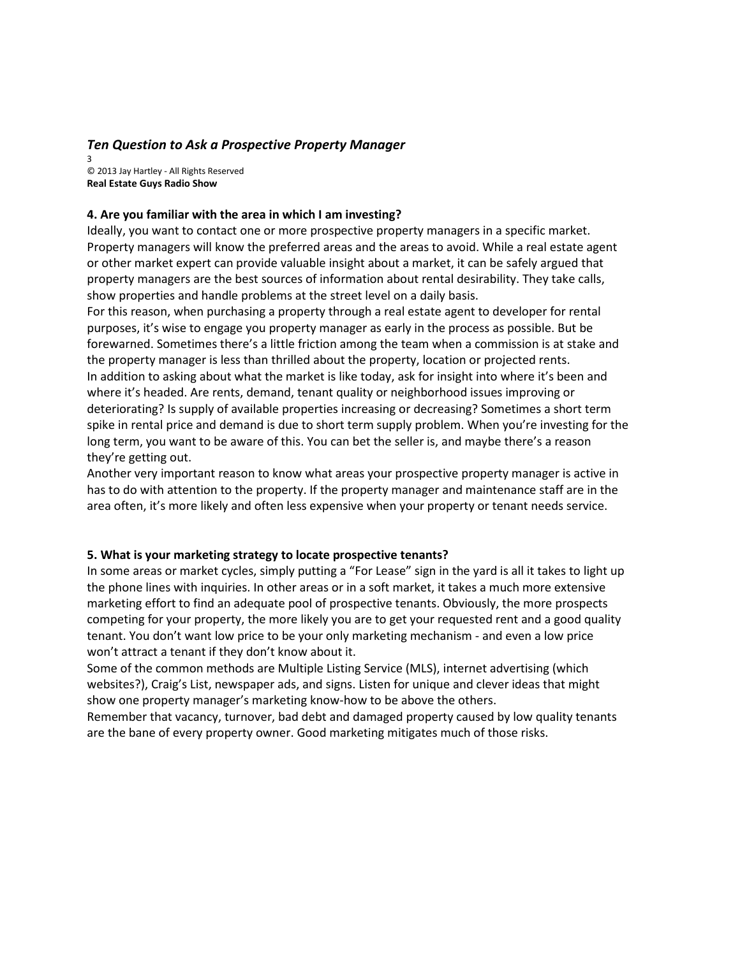## *Ten Question to Ask a Prospective Property Manager*

3 © 2013 Jay Hartley ‐ All Rights Reserved **Real Estate Guys Radio Show**

#### **4. Are you familiar with the area in which I am investing?**

Ideally, you want to contact one or more prospective property managers in a specific market. Property managers will know the preferred areas and the areas to avoid. While a real estate agent or other market expert can provide valuable insight about a market, it can be safely argued that property managers are the best sources of information about rental desirability. They take calls, show properties and handle problems at the street level on a daily basis.

For this reason, when purchasing a property through a real estate agent to developer for rental purposes, it's wise to engage you property manager as early in the process as possible. But be forewarned. Sometimes there's a little friction among the team when a commission is at stake and the property manager is less than thrilled about the property, location or projected rents. In addition to asking about what the market is like today, ask for insight into where it's been and where it's headed. Are rents, demand, tenant quality or neighborhood issues improving or deteriorating? Is supply of available properties increasing or decreasing? Sometimes a short term spike in rental price and demand is due to short term supply problem. When you're investing for the long term, you want to be aware of this. You can bet the seller is, and maybe there's a reason they're getting out.

Another very important reason to know what areas your prospective property manager is active in has to do with attention to the property. If the property manager and maintenance staff are in the area often, it's more likely and often less expensive when your property or tenant needs service.

#### **5. What is your marketing strategy to locate prospective tenants?**

In some areas or market cycles, simply putting a "For Lease" sign in the yard is all it takes to light up the phone lines with inquiries. In other areas or in a soft market, it takes a much more extensive marketing effort to find an adequate pool of prospective tenants. Obviously, the more prospects competing for your property, the more likely you are to get your requested rent and a good quality tenant. You don't want low price to be your only marketing mechanism ‐ and even a low price won't attract a tenant if they don't know about it.

Some of the common methods are Multiple Listing Service (MLS), internet advertising (which websites?), Craig's List, newspaper ads, and signs. Listen for unique and clever ideas that might show one property manager's marketing know‐how to be above the others.

Remember that vacancy, turnover, bad debt and damaged property caused by low quality tenants are the bane of every property owner. Good marketing mitigates much of those risks.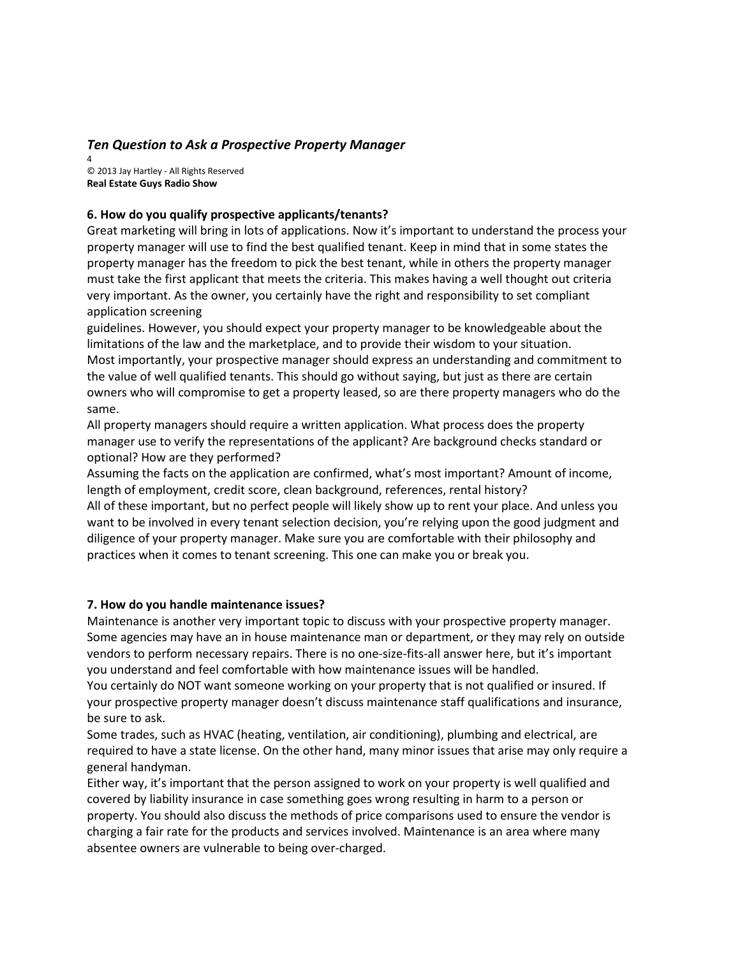# *Ten Question to Ask a Prospective Property Manager*

4 © 2013 Jay Hartley ‐ All Rights Reserved **Real Estate Guys Radio Show**

## **6. How do you qualify prospective applicants/tenants?**

Great marketing will bring in lots of applications. Now it's important to understand the process your property manager will use to find the best qualified tenant. Keep in mind that in some states the property manager has the freedom to pick the best tenant, while in others the property manager must take the first applicant that meets the criteria. This makes having a well thought out criteria very important. As the owner, you certainly have the right and responsibility to set compliant application screening

guidelines. However, you should expect your property manager to be knowledgeable about the limitations of the law and the marketplace, and to provide their wisdom to your situation. Most importantly, your prospective manager should express an understanding and commitment to the value of well qualified tenants. This should go without saying, but just as there are certain owners who will compromise to get a property leased, so are there property managers who do the same.

All property managers should require a written application. What process does the property manager use to verify the representations of the applicant? Are background checks standard or optional? How are they performed?

Assuming the facts on the application are confirmed, what's most important? Amount of income, length of employment, credit score, clean background, references, rental history?

All of these important, but no perfect people will likely show up to rent your place. And unless you want to be involved in every tenant selection decision, you're relying upon the good judgment and diligence of your property manager. Make sure you are comfortable with their philosophy and practices when it comes to tenant screening. This one can make you or break you.

## **7. How do you handle maintenance issues?**

Maintenance is another very important topic to discuss with your prospective property manager. Some agencies may have an in house maintenance man or department, or they may rely on outside vendors to perform necessary repairs. There is no one‐size‐fits‐all answer here, but it's important you understand and feel comfortable with how maintenance issues will be handled.

You certainly do NOT want someone working on your property that is not qualified or insured. If your prospective property manager doesn't discuss maintenance staff qualifications and insurance, be sure to ask.

Some trades, such as HVAC (heating, ventilation, air conditioning), plumbing and electrical, are required to have a state license. On the other hand, many minor issues that arise may only require a general handyman.

Either way, it's important that the person assigned to work on your property is well qualified and covered by liability insurance in case something goes wrong resulting in harm to a person or property. You should also discuss the methods of price comparisons used to ensure the vendor is charging a fair rate for the products and services involved. Maintenance is an area where many absentee owners are vulnerable to being over‐charged.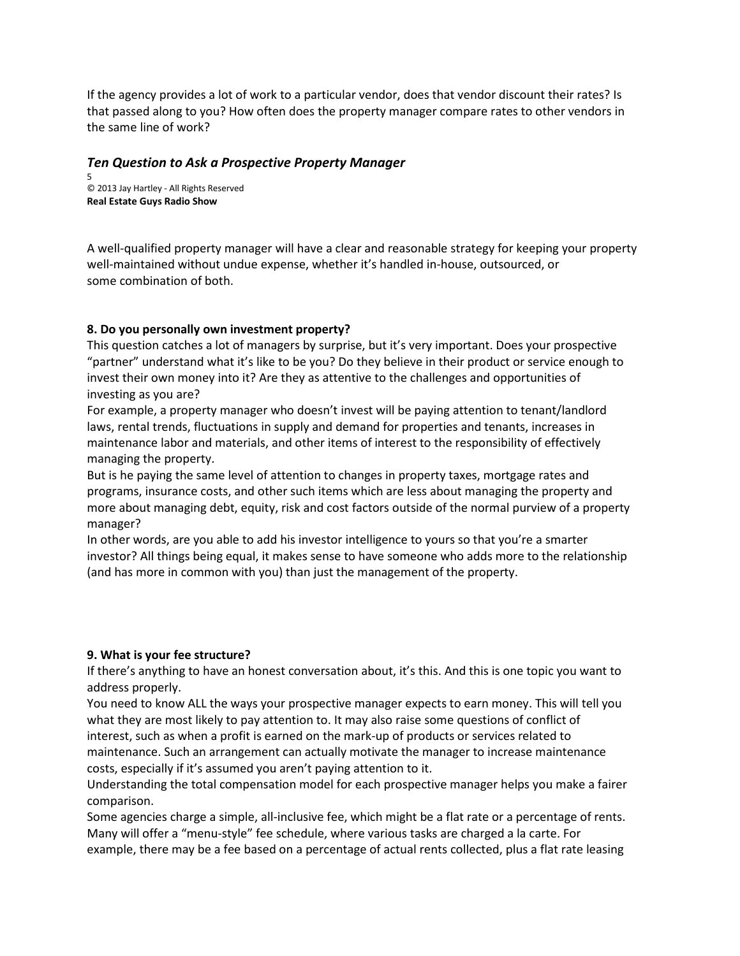If the agency provides a lot of work to a particular vendor, does that vendor discount their rates? Is that passed along to you? How often does the property manager compare rates to other vendors in the same line of work?

# *Ten Question to Ask a Prospective Property Manager*

5 © 2013 Jay Hartley ‐ All Rights Reserved **Real Estate Guys Radio Show**

A well‐qualified property manager will have a clear and reasonable strategy for keeping your property well-maintained without undue expense, whether it's handled in-house, outsourced, or some combination of both.

# **8. Do you personally own investment property?**

This question catches a lot of managers by surprise, but it's very important. Does your prospective "partner" understand what it's like to be you? Do they believe in their product or service enough to invest their own money into it? Are they as attentive to the challenges and opportunities of investing as you are?

For example, a property manager who doesn't invest will be paying attention to tenant/landlord laws, rental trends, fluctuations in supply and demand for properties and tenants, increases in maintenance labor and materials, and other items of interest to the responsibility of effectively managing the property.

But is he paying the same level of attention to changes in property taxes, mortgage rates and programs, insurance costs, and other such items which are less about managing the property and more about managing debt, equity, risk and cost factors outside of the normal purview of a property manager?

In other words, are you able to add his investor intelligence to yours so that you're a smarter investor? All things being equal, it makes sense to have someone who adds more to the relationship (and has more in common with you) than just the management of the property.

## **9. What is your fee structure?**

If there's anything to have an honest conversation about, it's this. And this is one topic you want to address properly.

You need to know ALL the ways your prospective manager expects to earn money. This will tell you what they are most likely to pay attention to. It may also raise some questions of conflict of interest, such as when a profit is earned on the mark‐up of products or services related to maintenance. Such an arrangement can actually motivate the manager to increase maintenance costs, especially if it's assumed you aren't paying attention to it.

Understanding the total compensation model for each prospective manager helps you make a fairer comparison.

Some agencies charge a simple, all-inclusive fee, which might be a flat rate or a percentage of rents. Many will offer a "menu‐style" fee schedule, where various tasks are charged a la carte. For example, there may be a fee based on a percentage of actual rents collected, plus a flat rate leasing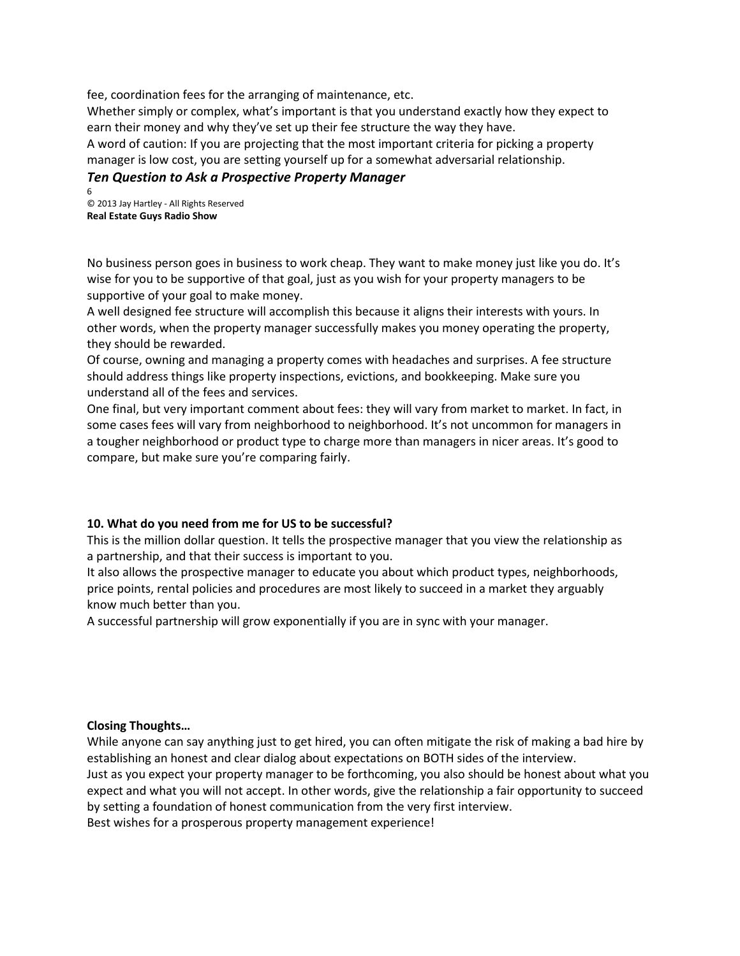fee, coordination fees for the arranging of maintenance, etc.

Whether simply or complex, what's important is that you understand exactly how they expect to earn their money and why they've set up their fee structure the way they have.

A word of caution: If you are projecting that the most important criteria for picking a property manager is low cost, you are setting yourself up for a somewhat adversarial relationship.

# *Ten Question to Ask a Prospective Property Manager*

6 © 2013 Jay Hartley ‐ All Rights Reserved **Real Estate Guys Radio Show**

No business person goes in business to work cheap. They want to make money just like you do. It's wise for you to be supportive of that goal, just as you wish for your property managers to be supportive of your goal to make money.

A well designed fee structure will accomplish this because it aligns their interests with yours. In other words, when the property manager successfully makes you money operating the property, they should be rewarded.

Of course, owning and managing a property comes with headaches and surprises. A fee structure should address things like property inspections, evictions, and bookkeeping. Make sure you understand all of the fees and services.

One final, but very important comment about fees: they will vary from market to market. In fact, in some cases fees will vary from neighborhood to neighborhood. It's not uncommon for managers in a tougher neighborhood or product type to charge more than managers in nicer areas. It's good to compare, but make sure you're comparing fairly.

## **10. What do you need from me for US to be successful?**

This is the million dollar question. It tells the prospective manager that you view the relationship as a partnership, and that their success is important to you.

It also allows the prospective manager to educate you about which product types, neighborhoods, price points, rental policies and procedures are most likely to succeed in a market they arguably know much better than you.

A successful partnership will grow exponentially if you are in sync with your manager.

## **Closing Thoughts…**

While anyone can say anything just to get hired, you can often mitigate the risk of making a bad hire by establishing an honest and clear dialog about expectations on BOTH sides of the interview. Just as you expect your property manager to be forthcoming, you also should be honest about what you expect and what you will not accept. In other words, give the relationship a fair opportunity to succeed by setting a foundation of honest communication from the very first interview.

Best wishes for a prosperous property management experience!